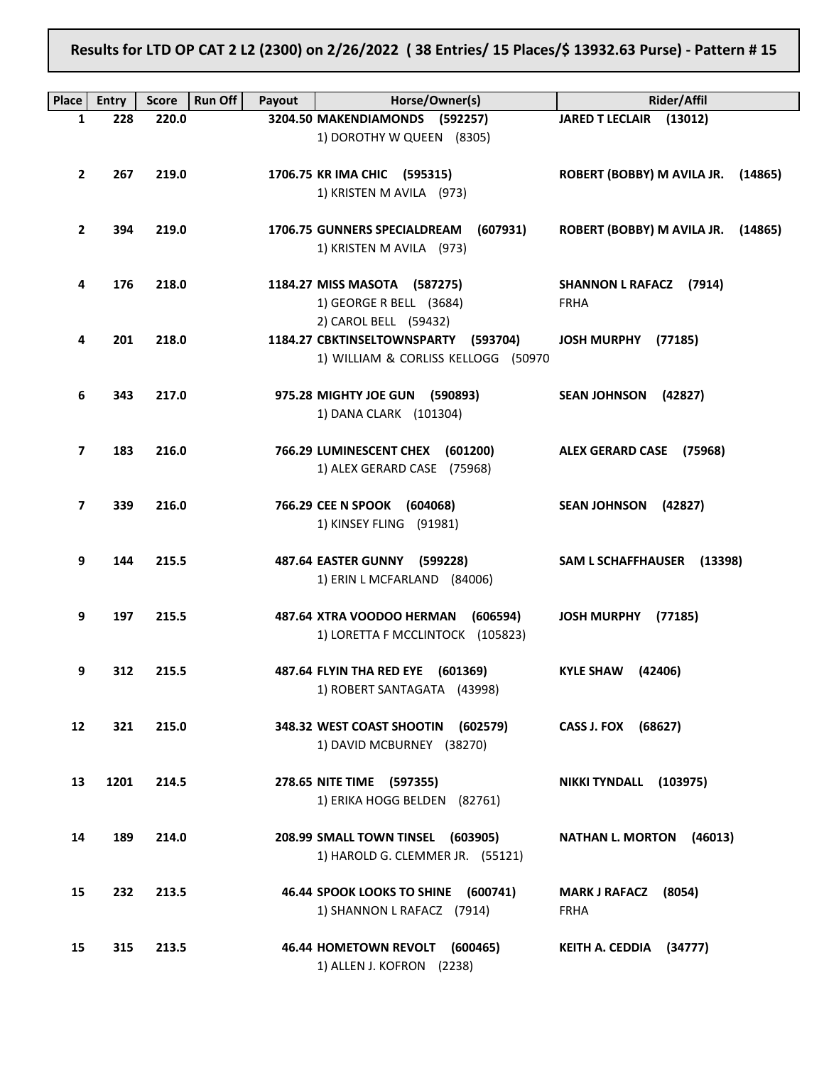Results for LTD OP CAT 2 L2 (2300) on 2/26/2022 ( 38 Entries/ 15 Places/\$ 13932.63 Purse) - Pattern # 15

| <b>Place</b>      | <b>Entry</b> | <b>Score</b> | <b>Run Off</b><br>Payout | Horse/Owner(s)                           | <b>Rider/Affil</b>                    |
|-------------------|--------------|--------------|--------------------------|------------------------------------------|---------------------------------------|
| 1                 | 228          | 220.0        |                          | 3204.50 MAKENDIAMONDS (592257)           | JARED T LECLAIR (13012)               |
|                   |              |              |                          | 1) DOROTHY W QUEEN (8305)                |                                       |
|                   |              |              |                          |                                          |                                       |
| $\mathbf{2}$      | 267          | 219.0        |                          | 1706.75 KR IMA CHIC (595315)             | ROBERT (BOBBY) M AVILA JR.<br>(14865) |
|                   |              |              |                          | 1) KRISTEN M AVILA (973)                 |                                       |
|                   |              |              |                          |                                          |                                       |
| $\mathbf{2}$      | 394          | 219.0        |                          | 1706.75 GUNNERS SPECIALDREAM<br>(607931) | ROBERT (BOBBY) M AVILA JR.<br>(14865) |
|                   |              |              |                          | 1) KRISTEN M AVILA (973)                 |                                       |
|                   |              |              |                          |                                          |                                       |
|                   |              |              |                          |                                          |                                       |
| 4                 | 176          | 218.0        |                          | 1184.27 MISS MASOTA (587275)             | SHANNON L RAFACZ (7914)               |
|                   |              |              |                          | 1) GEORGE R BELL (3684)                  | <b>FRHA</b>                           |
|                   |              |              |                          | 2) CAROL BELL (59432)                    |                                       |
| 4                 | 201          | 218.0        |                          | 1184.27 CBKTINSELTOWNSPARTY (593704)     | JOSH MURPHY (77185)                   |
|                   |              |              |                          | 1) WILLIAM & CORLISS KELLOGG (50970      |                                       |
|                   |              |              |                          |                                          |                                       |
| 6                 | 343          | 217.0        |                          | 975.28 MIGHTY JOE GUN (590893)           | <b>SEAN JOHNSON</b><br>(42827)        |
|                   |              |              |                          | 1) DANA CLARK (101304)                   |                                       |
|                   |              |              |                          |                                          |                                       |
| 7                 | 183          | 216.0        |                          | 766.29 LUMINESCENT CHEX (601200)         | ALEX GERARD CASE (75968)              |
|                   |              |              |                          | 1) ALEX GERARD CASE (75968)              |                                       |
|                   |              |              |                          |                                          |                                       |
| 7                 | 339          | 216.0        |                          | 766.29 CEE N SPOOK (604068)              | <b>SEAN JOHNSON</b><br>(42827)        |
|                   |              |              |                          | 1) KINSEY FLING (91981)                  |                                       |
|                   |              |              |                          |                                          |                                       |
| 9                 | 144          | 215.5        |                          | 487.64 EASTER GUNNY (599228)             | SAM L SCHAFFHAUSER (13398)            |
|                   |              |              |                          | 1) ERIN L MCFARLAND (84006)              |                                       |
|                   |              |              |                          |                                          |                                       |
| 9                 | 197          | 215.5        |                          | 487.64 XTRA VOODOO HERMAN<br>(606594)    | <b>JOSH MURPHY</b><br>(77185)         |
|                   |              |              |                          | 1) LORETTA F MCCLINTOCK (105823)         |                                       |
|                   |              |              |                          |                                          |                                       |
| 9                 | 312          | 215.5        |                          | 487.64 FLYIN THA RED EYE (601369)        | (42406)<br><b>KYLE SHAW</b>           |
|                   |              |              |                          | 1) ROBERT SANTAGATA (43998)              |                                       |
|                   |              |              |                          |                                          |                                       |
| $12 \overline{ }$ | 321          | 215.0        |                          | 348.32 WEST COAST SHOOTIN (602579)       | CASS J. FOX (68627)                   |
|                   |              |              |                          | 1) DAVID MCBURNEY (38270)                |                                       |
|                   |              |              |                          |                                          |                                       |
| 13                | 1201         | 214.5        |                          | 278.65 NITE TIME (597355)                | NIKKI TYNDALL (103975)                |
|                   |              |              |                          |                                          |                                       |
|                   |              |              |                          | 1) ERIKA HOGG BELDEN (82761)             |                                       |
|                   |              |              |                          |                                          |                                       |
| 14                | 189          | 214.0        |                          | 208.99 SMALL TOWN TINSEL (603905)        | NATHAN L. MORTON (46013)              |
|                   |              |              |                          | 1) HAROLD G. CLEMMER JR. (55121)         |                                       |
|                   |              |              |                          |                                          |                                       |
| 15                | 232          | 213.5        |                          | 46.44 SPOOK LOOKS TO SHINE (600741)      | <b>MARK J RAFACZ</b><br>(8054)        |
|                   |              |              |                          | 1) SHANNON L RAFACZ (7914)               | <b>FRHA</b>                           |
|                   |              |              |                          |                                          |                                       |
| 15                | 315          | 213.5        |                          | 46.44 HOMETOWN REVOLT (600465)           | KEITH A. CEDDIA<br>(34777)            |
|                   |              |              |                          | 1) ALLEN J. KOFRON (2238)                |                                       |
|                   |              |              |                          |                                          |                                       |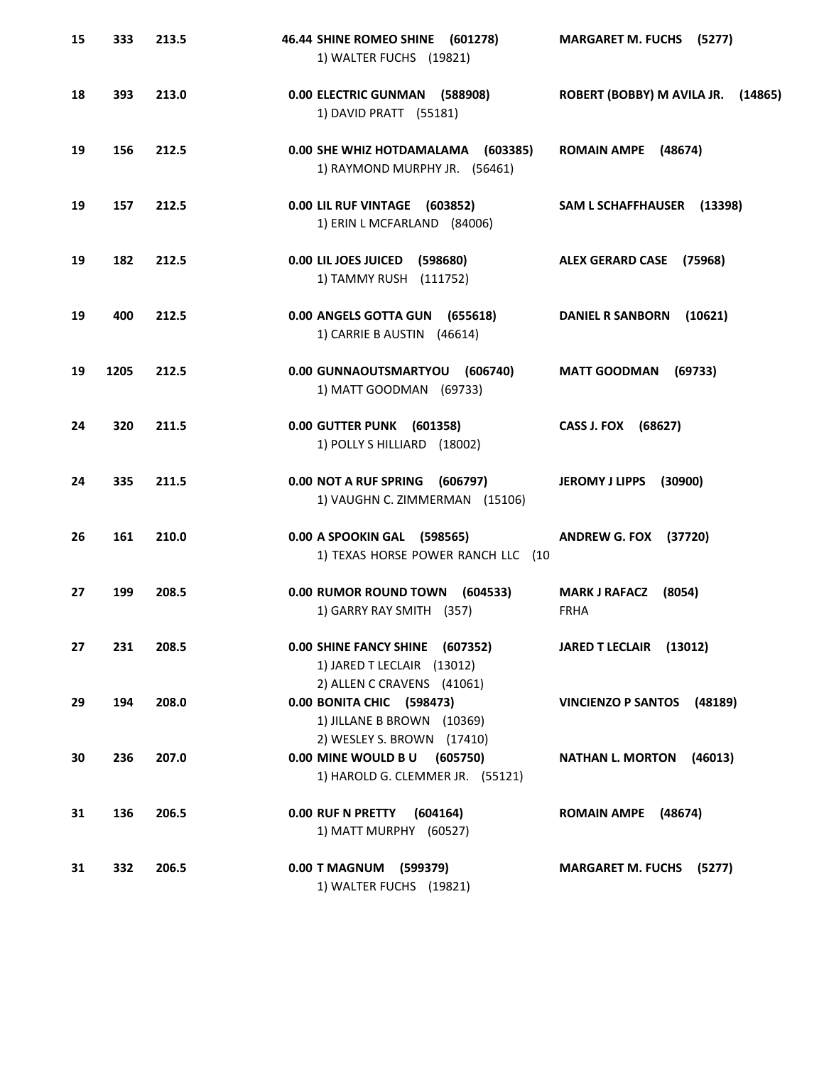| 15 | 333  | 213.5 | 46.44 SHINE ROMEO SHINE (601278)<br>1) WALTER FUCHS (19821)                                    | <b>MARGARET M. FUCHS (5277)</b>               |
|----|------|-------|------------------------------------------------------------------------------------------------|-----------------------------------------------|
| 18 | 393  | 213.0 | 0.00 ELECTRIC GUNMAN (588908)<br>1) DAVID PRATT (55181)                                        | ROBERT (BOBBY) M AVILA JR.<br>(14865)         |
| 19 | 156  | 212.5 | 0.00 SHE WHIZ HOTDAMALAMA (603385)<br>1) RAYMOND MURPHY JR. (56461)                            | ROMAIN AMPE (48674)                           |
| 19 | 157  | 212.5 | 0.00 LIL RUF VINTAGE (603852)<br>1) ERIN L MCFARLAND (84006)                                   | SAM L SCHAFFHAUSER (13398)                    |
| 19 | 182  | 212.5 | 0.00 LIL JOES JUICED (598680)<br>1) TAMMY RUSH (111752)                                        | <b>ALEX GERARD CASE</b><br>(75968)            |
| 19 | 400  | 212.5 | 0.00 ANGELS GOTTA GUN (655618)<br>1) CARRIE B AUSTIN (46614)                                   | <b>DANIEL R SANBORN</b><br>(10621)            |
| 19 | 1205 | 212.5 | 0.00 GUNNAOUTSMARTYOU (606740)<br>1) MATT GOODMAN (69733)                                      | <b>MATT GOODMAN</b><br>(69733)                |
| 24 | 320  | 211.5 | 0.00 GUTTER PUNK (601358)<br>1) POLLY S HILLIARD (18002)                                       | CASS J. FOX (68627)                           |
| 24 | 335  | 211.5 | 0.00 NOT A RUF SPRING<br>(606797)<br>1) VAUGHN C. ZIMMERMAN (15106)                            | <b>JEROMY J LIPPS</b><br>(30900)              |
| 26 | 161  | 210.0 | 0.00 A SPOOKIN GAL (598565)<br>1) TEXAS HORSE POWER RANCH LLC (10                              | <b>ANDREW G. FOX (37720)</b>                  |
| 27 | 199  | 208.5 | 0.00 RUMOR ROUND TOWN<br>(604533)<br>1) GARRY RAY SMITH (357)                                  | (8054)<br><b>MARK J RAFACZ</b><br><b>FRHA</b> |
| 27 | 231  | 208.5 | 0.00 SHINE FANCY SHINE (607352)<br>1) JARED T LECLAIR (13012)                                  | JARED T LECLAIR (13012)                       |
| 29 | 194  | 208.0 | 2) ALLEN C CRAVENS (41061)<br>0.00 BONITA CHIC (598473)<br>1) JILLANE B BROWN (10369)          | VINCIENZO P SANTOS (48189)                    |
| 30 | 236  | 207.0 | 2) WESLEY S. BROWN (17410)<br>0.00 MINE WOULD B U (605750)<br>1) HAROLD G. CLEMMER JR. (55121) | <b>NATHAN L. MORTON</b><br>(46013)            |
| 31 | 136  | 206.5 | 0.00 RUF N PRETTY<br>(604164)<br>1) MATT MURPHY (60527)                                        | ROMAIN AMPE (48674)                           |
| 31 | 332  | 206.5 | 0.00 T MAGNUM (599379)<br>1) WALTER FUCHS (19821)                                              | <b>MARGARET M. FUCHS (5277)</b>               |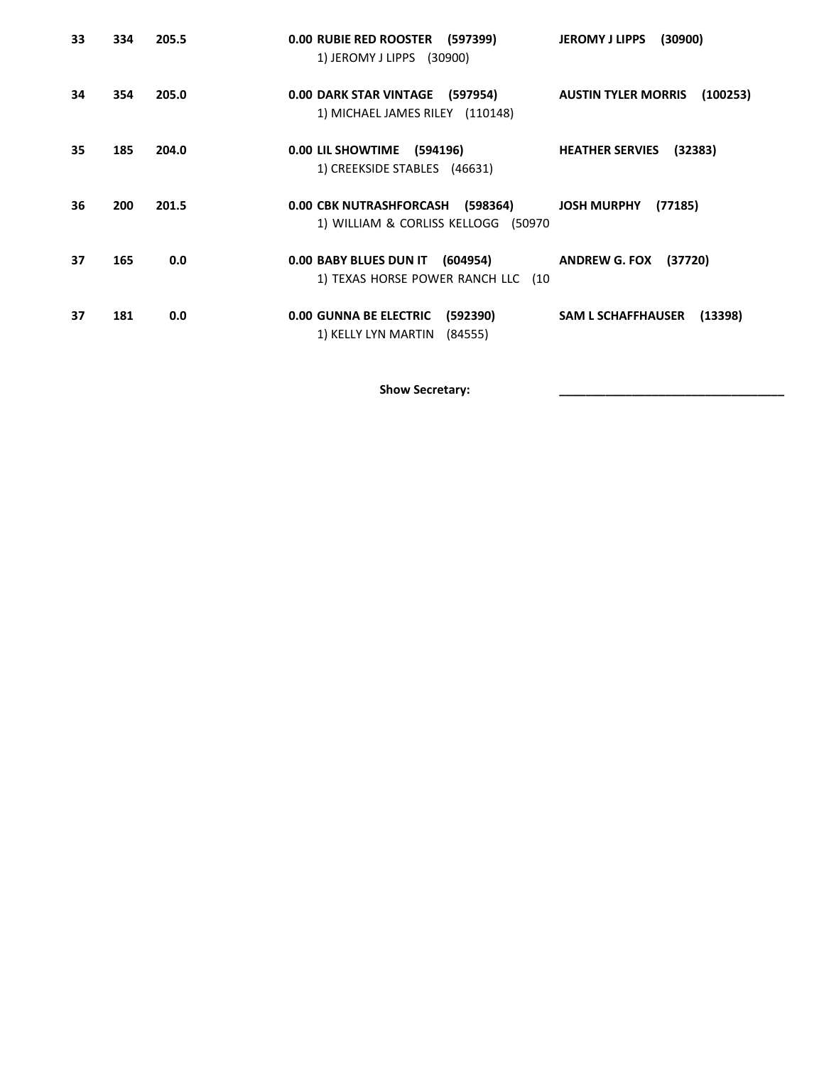| 33 | 334 | 205.5 | 0.00 RUBIE RED ROOSTER (597399)<br>1) JEROMY J LIPPS (30900)             | (30900)<br><b>JEROMY J LIPPS</b>       |
|----|-----|-------|--------------------------------------------------------------------------|----------------------------------------|
| 34 | 354 | 205.0 | 0.00 DARK STAR VINTAGE (597954)<br>1) MICHAEL JAMES RILEY (110148)       | <b>AUSTIN TYLER MORRIS</b><br>(100253) |
| 35 | 185 | 204.0 | 0.00 LIL SHOWTIME<br>(594196)<br>1) CREEKSIDE STABLES (46631)            | (32383)<br><b>HEATHER SERVIES</b>      |
| 36 | 200 | 201.5 | 0.00 CBK NUTRASHFORCASH (598364)<br>1) WILLIAM & CORLISS KELLOGG (50970  | <b>JOSH MURPHY</b><br>(77185)          |
| 37 | 165 | 0.0   | 0.00 BABY BLUES DUN IT (604954)<br>1) TEXAS HORSE POWER RANCH LLC (10    | (37720)<br><b>ANDREW G. FOX</b>        |
| 37 | 181 | 0.0   | <b>0.00 GUNNA BE ELECTRIC</b><br>(592390)<br>1) KELLY LYN MARTIN (84555) | <b>SAM L SCHAFFHAUSER</b><br>(13398)   |

Show Secretary: